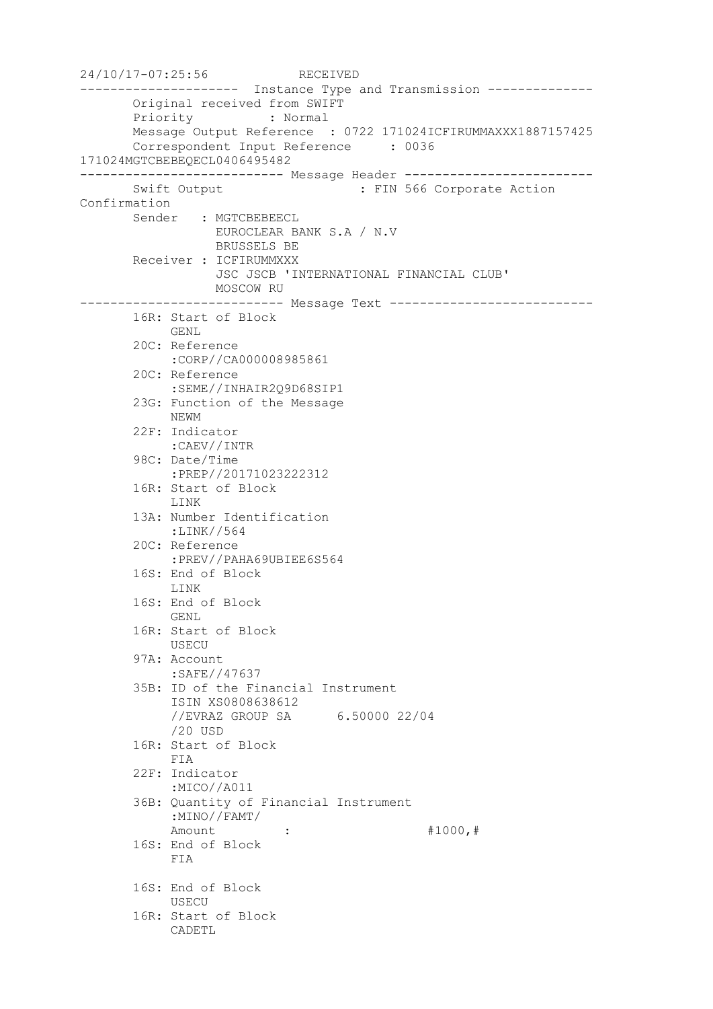```
24/10/17-07:25:56 RECEIVED
--------------------- Instance Type and Transmission --------------
       Original received from SWIFT
       Priority : Normal
       Message Output Reference : 0722 171024ICFIRUMMAXXX1887157425
       Correspondent Input Reference : 0036 
171024MGTCBEBEQECL0406495482
--------------------------- Message Header -------------------------
      Swift Output : FIN 566 Corporate Action
Confirmation
      Sender : MGTCBEBEECL
                 EUROCLEAR BANK S.A / N.V
                 BRUSSELS BE
       Receiver : ICFIRUMMXXX
                  JSC JSCB 'INTERNATIONAL FINANCIAL CLUB'
                 MOSCOW RU
--------------------------- Message Text ---------------------------
       16R: Start of Block
            GENL
       20C: Reference
            :CORP//CA000008985861
       20C: Reference
            :SEME//INHAIR2Q9D68SIP1
       23G: Function of the Message
            NEWM
       22F: Indicator
            :CAEV//INTR
        98C: Date/Time
            :PREP//20171023222312
       16R: Start of Block
            LINK
        13A: Number Identification
            :LINK//564
        20C: Reference
            :PREV//PAHA69UBIEE6S564
       16S: End of Block
            LINK
       16S: End of Block
            GENL
       16R: Start of Block
            USECU
       97A: Account
            :SAFE//47637
       35B: ID of the Financial Instrument
            ISIN XS0808638612
            //EVRAZ GROUP SA 6.50000 22/04
            /20 USD
        16R: Start of Block
            FIA
        22F: Indicator
            :MICO//A011
        36B: Quantity of Financial Instrument
            :MINO//FAMT/
           Amount : : #1000, #
       16S: End of Block
            FIA
       16S: End of Block
            USECU
       16R: Start of Block
            CADETL
```